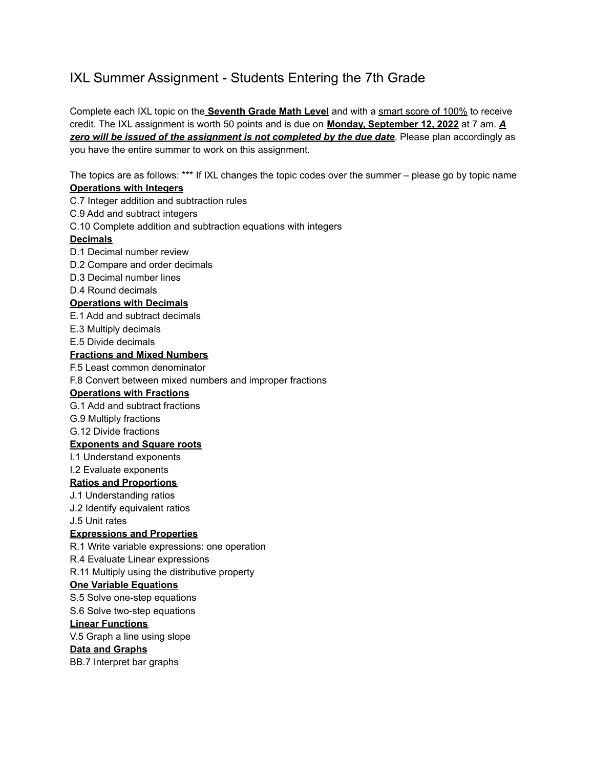# IXL Summer Assignment - Students Entering the 7th Grade

Complete each IXL topic on the **Seventh Grade Math Level** and with a smart score of 100% to receive credit. The IXL assignment is worth 50 points and is due on **Monday, September 12, 2022** at 7 am. *A zero will be issued of the assignment is not completed by the due date*. Please plan accordingly as you have the entire summer to work on this assignment.

The topics are as follows: \*\*\* If IXL changes the topic codes over the summer – please go by topic name **Operations with Integers**

C.7 Integer addition and subtraction rules

C.9 Add and subtract integers

C.10 Complete addition and subtraction equations with integers

#### **Decimals**

D.1 Decimal number review

D.2 Compare and order decimals

D.3 Decimal number lines

D.4 Round decimals

## **Operations with Decimals**

E.1 Add and subtract decimals

E.3 Multiply decimals

E.5 Divide decimals

### **Fractions and Mixed Numbers**

F.5 Least common denominator

F.8 Convert between mixed numbers and improper fractions

#### **Operations with Fractions**

G.1 Add and subtract fractions

G.9 Multiply fractions

G.12 Divide fractions

#### **Exponents and Square roots**

I.1 Understand exponents

I.2 Evaluate exponents

#### **Ratios and Proportions**

J.1 Understanding ratios

J.2 Identify equivalent ratios

J.5 Unit rates

## **Expressions and Properties**

R.1 Write variable expressions: one operation

R.4 Evaluate Linear expressions

R.11 Multiply using the distributive property

#### **One Variable Equations**

S.5 Solve one-step equations

S.6 Solve two-step equations

#### **Linear Functions**

V.5 Graph a line using slope

## **Data and Graphs**

BB.7 Interpret bar graphs